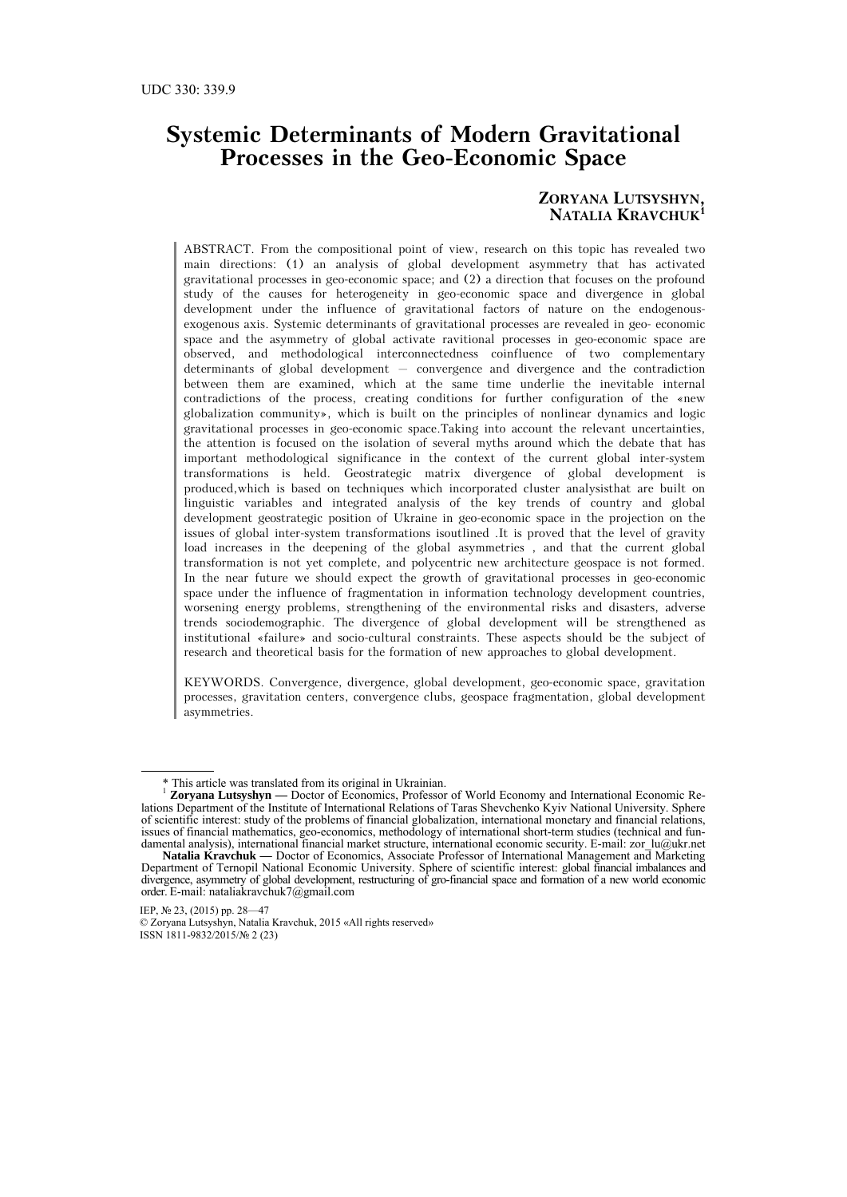# **Systemic Determinants of Modern Gravitational Processes in the Geo-Economic Space**

### **ZORYANA LUTSYSHYN, NATALIA KRAVCHUK<sup>1</sup>**

ABSTRACT. From the compositional point of view, research on this topic has revealed two main directions: (1) an analysis of global development asymmetry that has activated gravitational processes in geo-economic space; and (2) a direction that focuses on the profound study of the causes for heterogeneity in geo-economic space and divergence in global development under the influence of gravitational factors of nature on the endogenousexogenous axis. Systemic determinants of gravitational processes are revealed in geo- economic space and the asymmetry of global activate ravitional processes in geo-economic space are observed, and methodological interconnectedness coinfluence of two complementary determinants of global development – convergence and divergence and the contradiction between them are examined, which at the same time underlie the inevitable internal contradictions of the process, creating conditions for further configuration of the «new globalization community», which is built on the principles of nonlinear dynamics and logic gravitational processes in geo-economic space.Taking into account the relevant uncertainties, the attention is focused on the isolation of several myths around which the debate that has important methodological significance in the context of the current global inter-system transformations is held. Geostrategic matrix divergence of global development is produced,which is based on techniques which incorporated cluster analysisthat are built on linguistic variables and integrated analysis of the key trends of country and global development geostrategic position of Ukraine in geo-economic space in the projection on the issues of global inter-system transformations isoutlined .It is proved that the level of gravity load increases in the deepening of the global asymmetries , and that the current global transformation is not yet complete, and polycentric new architecture geospace is not formed. In the near future we should expect the growth of gravitational processes in geo-economic space under the influence of fragmentation in information technology development countries, worsening energy problems, strengthening of the environmental risks and disasters, adverse trends sociodemographic. The divergence of global development will be strengthened as institutional «failure» and socio-cultural constraints. These aspects should be the subject of research and theoretical basis for the formation of new approaches to global development.

KEYWORDS. Convergence, divergence, global development, geo-economic space, gravitation processes, gravitation centers, convergence clubs, geospace fragmentation, global development asymmetries.

 <sup>\*</sup> This article was translated from its original in Ukrainian.

<sup>&</sup>lt;sup>1</sup> **Zoryana Lutsyshyn** — Doctor of Economics, Professor of World Economy and International Economic Relations Department of the Institute of International Relations of Taras Shevchenko Kyiv National University. Sphere of scientific interest: study of the problems of financial globalization, international monetary and financial relations, issues of financial mathematics, geo-economics, methodology of international short-term studies (technical and fundamental analysis), international financial market structure, international economic security. E-mail: zor\_lu@ukr.net

**Natalia Kravchuk —** Doctor of Economics, Associate Professor of International Management and Marketing Department of Ternopil National Economic University. Sphere of scientific interest: global financial imbalances and divergence, asymmetry of global development, restructuring of gro-financial space and formation of a new world economic order. E-mail: nataliakravchuk7@gmail.com

IEP, № 23, (2015) pp. 28—47

<sup>©</sup> Zoryana Lutsyshyn, Natalia Kravchuk, 2015 «All rights reserved» ISSN 1811-9832/2015/№ 2 (23)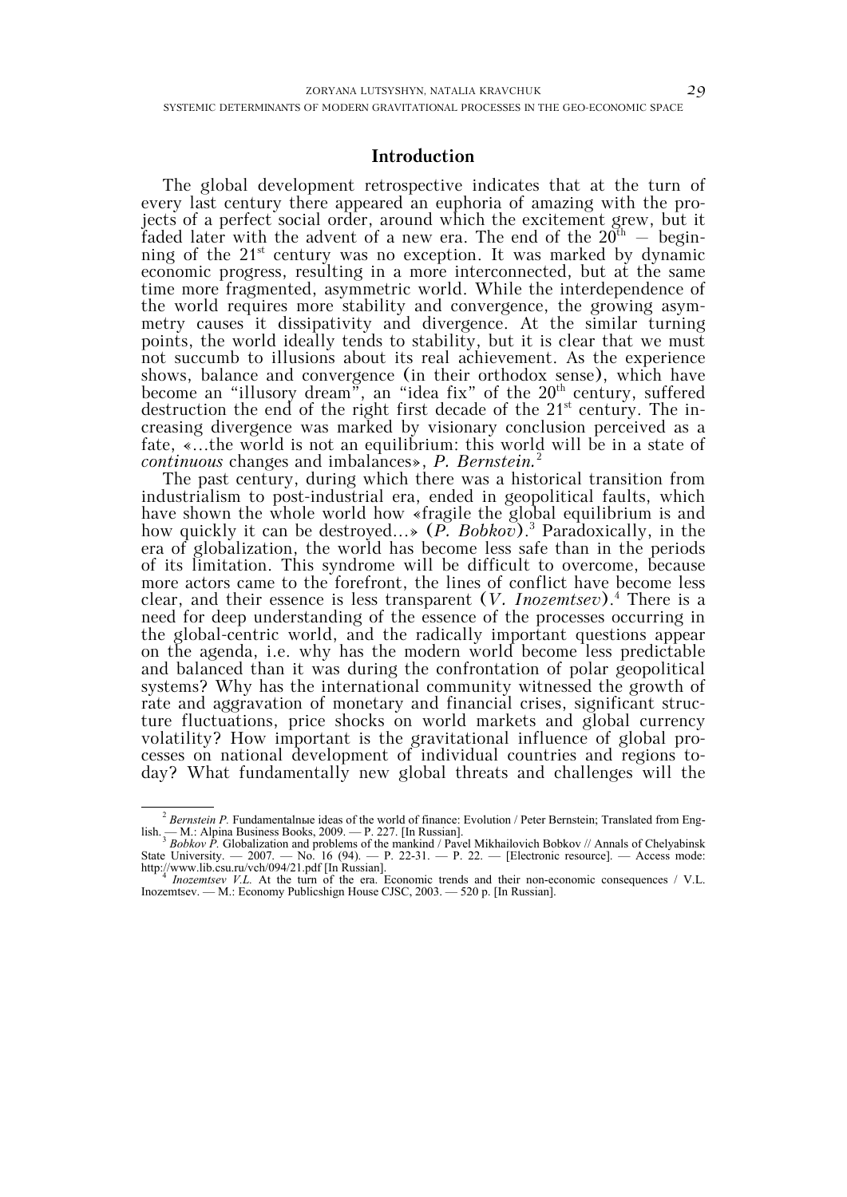### **Introduction**

The global development retrospective indicates that at the turn of every last century there appeared an euphoria of amazing with the projects of a perfect social order, around which the excitement grew, but it faded later with the advent of a new era. The end of the  $20<sup>th</sup>$  – beginning of the  $21^{st}$  century was no exception. It was marked by dynamic economic progress, resulting in a more interconnected, but at the same time more fragmented, asymmetric world. While the interdependence of the world requires more stability and convergence, the growing asymmetry causes it dissipativity and divergence. At the similar turning points, the world ideally tends to stability, but it is clear that we must not succumb to illusions about its real achievement. As the experience shows, balance and convergence (in their orthodox sense), which have become an "illusory dream", an "idea fix" of the 20<sup>th</sup> century, suffered destruction the end of the right first decade of the  $21<sup>st</sup>$  century. The increasing divergence was marked by visionary conclusion perceived as a fate, «...the world is not an equilibrium: this world will be in a state of *continuous* changes and imbalances», *P. Bernstein.*<sup>2</sup>

The past century, during which there was a historical transition from industrialism to post-industrial era, ended in geopolitical faults, which have shown the whole world how «fragile the global equilibrium is and how quickly it can be destroyed...» (*P. Bobkov*).<sup>3</sup> Paradoxically, in the era of globalization, the world has become less safe than in the periods of its limitation. This syndrome will be difficult to overcome, because more actors came to the forefront, the lines of conflict have become less clear, and their essence is less transparent (*V. Inozemtsev*).<sup>4</sup> There is a need for deep understanding of the essence of the processes occurring in the global-centric world, and the radically important questions appear on the agenda, i.e. why has the modern world become less predictable and balanced than it was during the confrontation of polar geopolitical systems? Why has the international community witnessed the growth of rate and aggravation of monetary and financial crises, significant structure fluctuations, price shocks on world markets and global currency volatility? How important is the gravitational influence of global processes on national development of individual countries and regions today? What fundamentally new global threats and challenges will the

<sup>&</sup>lt;sup>2</sup> *Bernstein P*. Fundamentalnue ideas of the world of finance: Evolution / Peter Bernstein; Translated from English. — M.: Alpina Business Books, 2009. — P. 227. [In Russian]. 3 *Bobkov P.* Globalization and problems of the mankind / Pavel Mikhailovich Bobkov // Annals of Chelyabinsk

State University.  $-2007.$   $-$  No. 16 (94).  $-$  P. 22-31.  $-$  P. 22.  $-$  [Electronic resource].  $-$  Access mode: http://www.lib.csu.ru/vch/094/21.pdf [In Russian]. 4 *Inozemtsev V.L.* At the turn of the era. Economic trends and their non-economic consequences / V.L.

Inozemtsev. — M.: Economy Publicshign House CJSC, 2003. — 520 p. [In Russian].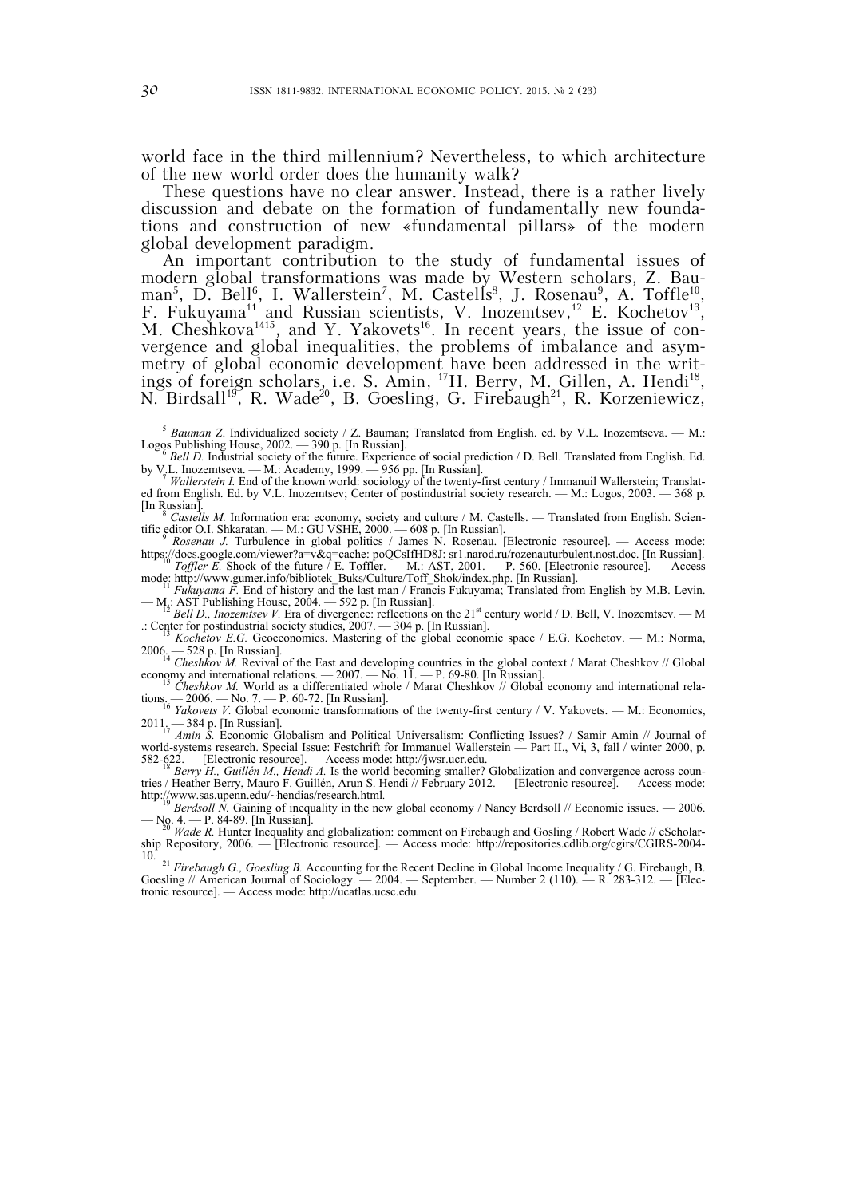world face in the third millennium? Nevertheless, to which architecture of the new world order does the humanity walk?

These questions have no clear answer. Instead, there is a rather lively discussion and debate on the formation of fundamentally new foundations and construction of new «fundamental pillars» of the modern global development paradigm.

An important contribution to the study of fundamental issues of modern global transformations was made by Western scholars, Z. Bauman<sup>5</sup>, D. Bell<sup>6</sup>, I. Wallerstein<sup>7</sup>, M. Castells<sup>8</sup>, J. Rosenau<sup>9</sup>, A. Toffle<sup>10</sup>, F. Fukuyama<sup>11</sup> and Russian scientists, V. Inozemtsev,<sup>12</sup> E. Kochetov<sup>13</sup>, M. Cheshkova<sup>1415</sup>, and Y. Yakovets<sup>16</sup>. In recent years, the issue of convergence and global inequalities, the problems of imbalance and asymmetry of global economic development have been addressed in the writings of foreign scholars, i.e. S. Amin, <sup>17</sup>H. Berry, M. Gillen, A. Hendi<sup>18</sup>, N. Birdsall<sup>19</sup>, R. Wade<sup>20</sup>, B. Goesling, G. Firebaugh<sup>21</sup>, R. Korzeniewicz,

https://docs.google.com/viewer?a=v&q=cache: poQCsIfHD8J: sr1.narod.ru/rozenauturbulent.nost.doc. [In Russian]. 10 *Toffler E.* Shock of the future / E. Toffler. — M.: AST, 2001. — P. 560. [Electronic resource]. — Access

— M.: AST Publishing House, 2004. — 592 p. [In Russian].<br><sup>12</sup> *Bell D., Inozemtsev V.* Era of divergence: reflections on the 21<sup>st</sup> century world / D. Bell, V. Inozemtsev. — M

.: Center for postindustrial society studies, 2007. — 304 p. [In Russian]. 13 *Kochetov E.G.* Geoeconomics. Mastering of the global economic space / E.G. Kochetov. — M.: Norma,

2006. — 528 p. [In Russian].<br><sup>14</sup> *Cheshkov M.* Revival of the East and developing countries in the global context / Marat Cheshkov // Global economy and international relations. — 2007. — No. 11. — P. 69-80. [In Russian].<br><sup>15</sup> *Cheshkov M.* World as a differentiated whole / Marat Cheshkov // Global economy and international rela-

tions. — 2006. — No. 7. — P. 60-72. [In Russian].<br><sup>16</sup> *Yakovets V.* Global economic transformations of the twenty-first century / V. Yakovets. — M.: Economics, 2011. — 384 p. [In Russian]. 17 *Amin S.* Economic Globalism and Political Universalism: Conflicting Issues? / Samir Amin // Journal of

world-systems research. Special Issue: Festchrift for Immanuel Wallerstein — Part II., Vi, 3, fall / winter 2000, p. 582-622. — [Electronic resource]. — Access mode: http://jwsr.ucr.edu.<br><sup>18</sup> *Berry H., Guillén M., Hendi A.* Is the world becoming smaller? Globalization and convergence across coun-

tries / Heather Berry, Mauro F. Guillén, Arun S. Hendi // February 2012. — [Electronic resource]. — Access mode: http://www.sas.upenn.edu/~hendias/research.html.<br><sup>19</sup> *Berdsoll N.* Gaining of inequality in the new global economy / Nancy Berdsoll // Economic issues. — 2006.

— No. 4. — P. 84-89. [In Russian]. 20 *Wade R.* Hunter Inequality and globalization: comment on Firebaugh and Gosling / Robert Wade // eScholar-

ship Repository, 2006. — [Electronic resource]. — Access mode: http://repositories.cdlib.org/cgirs/CGIRS-2004-

10. 21 *Firebaugh G., Goesling B.* Accounting for the Recent Decline in Global Income Inequality / G. Firebaugh, B. Goesling // American Journal of Sociology.  $-2004$ . — September. — Number 2 (110). — R. 283-312. — [Electronic resource]. — Access mode: http://ucatlas.ucsc.edu.

<sup>&</sup>lt;sup>5</sup> *Bauman Z.* Individualized society / Z. Bauman; Translated from English. ed. by V.L. Inozemtseva. — M.: Logos Publishing House, 2002. — 390 p. [In Russian]. Logos Publishing House, 2002. — 390 p. [In Russian].<br><sup>6</sup> *Bell D.* Industrial society of the future. Experience of social prediction / D. Bell. Translated from English. Ed.

by V.L. Inozemtseva. — M.: Academy, 1999. — 956 pp. [In Russian].<br>*<sup>7</sup> Wallerstein I*. End of the known world: sociology of the twenty-first century / Immanuil Wallerstein; Translat-

ed from English. Ed. by V.L. Inozemtsev; Center of postindustrial society research. — M.: Logos, 2003. — 368 p. [In Russian]. 8 *Castells M.* Information era: economy, society and culture / M. Castells. — Translated from English. Scien-

tific editor O.I. Shkaratan. — M.: GU VSHE, 2000. — 608 p. [In Russian].<br><sup>9</sup> *Rosenau J.* Turbulence in global politics / James N. Rosenau. [Electronic resource]. — Access mode:

mode: http://www.gumer.info/bibliotek\_Buks/Culture/Toff\_Shok/index.php. [In Russian].<br>
<sup>11</sup> *Fukuyama F.* End of history and the last man / Francis Fukuyama; Translated from English by M.B. Levin.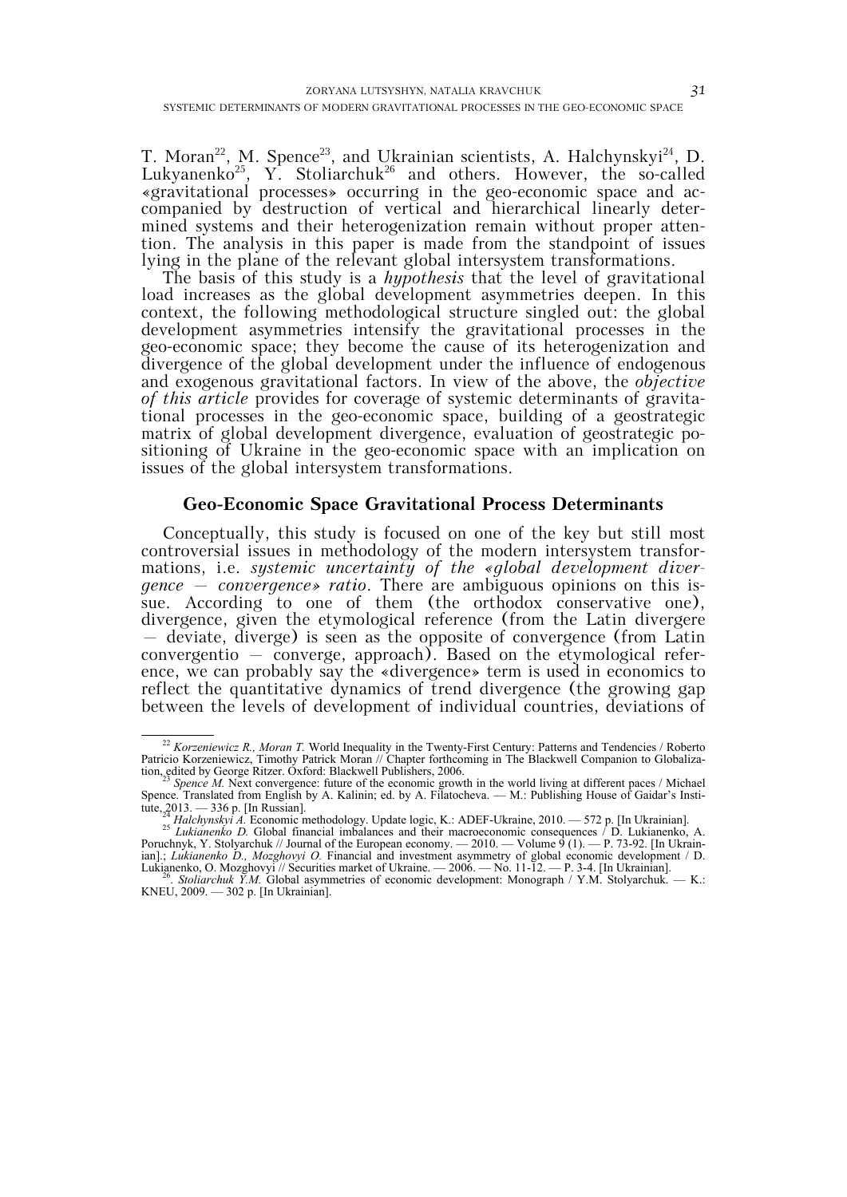T. Moran<sup>22</sup>, M. Spence<sup>23</sup>, and Ukrainian scientists, A. Halchynskyi<sup>24</sup>, D. Lukyanenko<sup>25</sup>, Y. Stoliarchuk<sup>26</sup> and others. However, the so-called «gravitational processes» occurring in the geo-economic space and accompanied by destruction of vertical and hierarchical linearly determined systems and their heterogenization remain without proper attention. The analysis in this paper is made from the standpoint of issues lying in the plane of the relevant global intersystem transformations.

The basis of this study is a *hypothesis* that the level of gravitational load increases as the global development asymmetries deepen. In this context, the following methodological structure singled out: the global development asymmetries intensify the gravitational processes in the geo-economic space; they become the cause of its heterogenization and divergence of the global development under the influence of endogenous and exogenous gravitational factors. In view of the above, the *objective of this article* provides for coverage of systemic determinants of gravitational processes in the geo-economic space, building of a geostrategic matrix of global development divergence, evaluation of geostrategic positioning of Ukraine in the geo-economic space with an implication on issues of the global intersystem transformations.

## **Geo-Economic Space Gravitational Process Determinants**

Conceptually, this study is focused on one of the key but still most controversial issues in methodology of the modern intersystem transformations, i.e. *systemic uncertainty of the «global development divergence – convergence» ratio*. There are ambiguous opinions on this issue. According to one of them (the orthodox conservative one), divergence, given the etymological reference (from the Latin divergere – deviate, diverge) is seen as the opposite of convergence (from Latin convergentio – converge, approach). Based on the etymological reference, we can probably say the «divergence» term is used in economics to reflect the quantitative dynamics of trend divergence (the growing gap between the levels of development of individual countries, deviations of

<sup>&</sup>lt;sup>22</sup> *Korzeniewicz R., Moran T.* World Inequality in the Twenty-First Century: Patterns and Tendencies / Roberto Patricio Korzeniewicz, Timothy Patrick Moran // Chapter forthcoming in The Blackwell Companion to Globaliza-

tion, edited by George Ritzer. Oxford: Blackwell Publishers, 2006.<br><sup>23</sup> *Spence M*. Next convergence: future of the economic growth in the world living at different paces / Michael Spence. Translated from English by A. Kalinin; ed. by A. Filatocheva. — M.: Publishing House of Gaidar's Insti-

tute, 2013. — 336 p. [In Russian].<br><sup>24</sup> Halchynskyi A. Economic methodology. Update logic, K.: ADEF-Ukraine, 2010. — 572 p. [In Ukrainian].<br><sup>25</sup> Lukianenko D. Global financial imbalances and their macroeconomic consequence Poruchnyk, Y. Stolyarchuk // Journal of the European economy. — 2010. — Volume 9 (1). — P. 73-92. [In Ukrainian].; *Lukianenko D., Mozghovyi O.* Financial and investment asymmetry of global economic development / D.

Lukianenko, O. Mozghovyi // Securities market of Ukraine. — 2006. — No. 11-12. — P. 3-4. [In Ukrainian].<br><sup>26</sup>. *Stoliarchuk Y.M.* Global asymmetries of economic development: Monograph / Y.M. Stolyarchuk. — K.: KNEU, 2009. — 302 p. [In Ukrainian].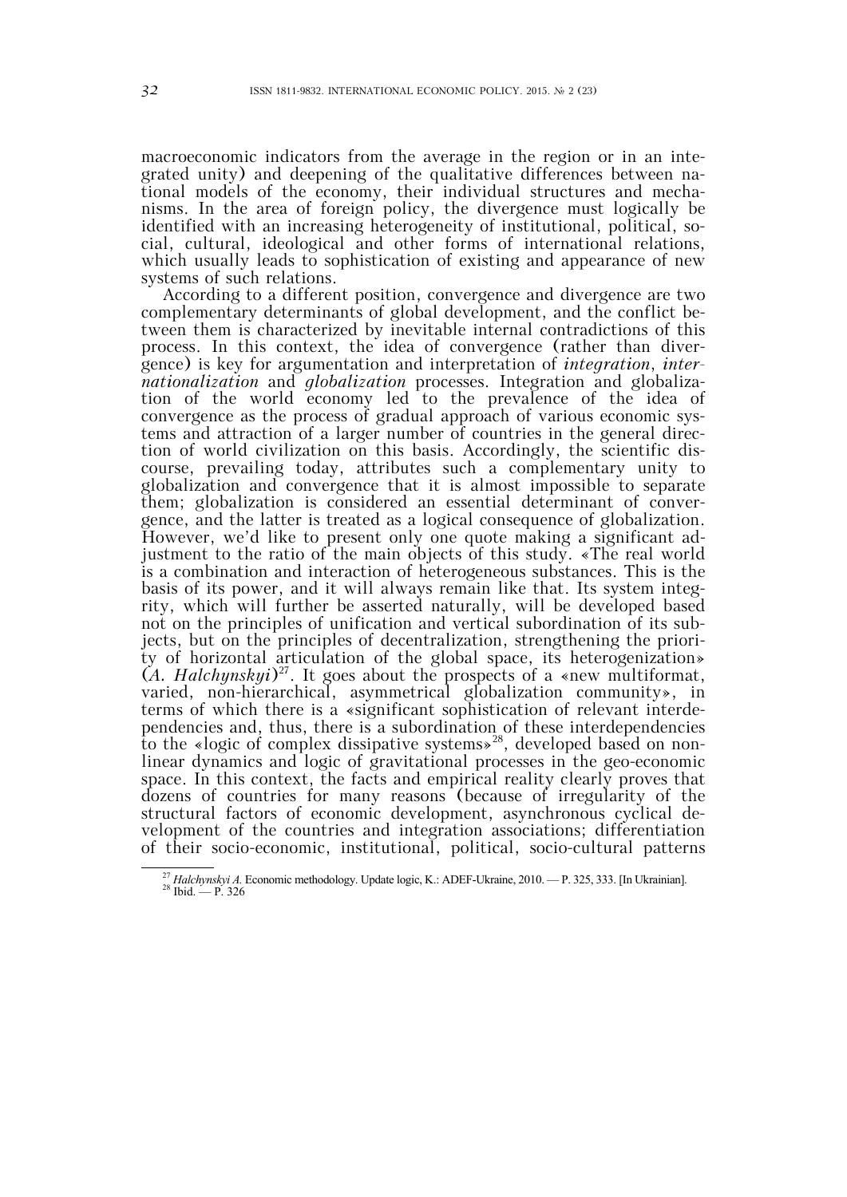macroeconomic indicators from the average in the region or in an integrated unity) and deepening of the qualitative differences between national models of the economy, their individual structures and mechanisms. In the area of foreign policy, the divergence must logically be identified with an increasing heterogeneity of institutional, political, social, cultural, ideological and other forms of international relations, which usually leads to sophistication of existing and appearance of new systems of such relations.

According to a different position, convergence and divergence are two complementary determinants of global development, and the conflict between them is characterized by inevitable internal contradictions of this process. In this context, the idea of convergence (rather than divergence) is key for argumentation and interpretation of *integration*, *internationalization* and *globalization* processes. Integration and globalization of the world economy led to the prevalence of the idea of convergence as the process of gradual approach of various economic systems and attraction of a larger number of countries in the general direction of world civilization on this basis. Accordingly, the scientific discourse, prevailing today, attributes such a complementary unity to globalization and convergence that it is almost impossible to separate them; globalization is considered an essential determinant of convergence, and the latter is treated as a logical consequence of globalization. However, we'd like to present only one quote making a significant adjustment to the ratio of the main objects of this study. «The real world is a combination and interaction of heterogeneous substances. This is the basis of its power, and it will always remain like that. Its system integrity, which will further be asserted naturally, will be developed based not on the principles of unification and vertical subordination of its subjects, but on the principles of decentralization, strengthening the priority of horizontal articulation of the global space, its heterogenization»  $(A. \text{Halchynskyi})^{27}$ . It goes about the prospects of a «new multiformat, varied, non-hierarchical, asymmetrical globalization community», in terms of which there is a «significant sophistication of relevant interdependencies and, thus, there is a subordination of these interdependencies to the «logic of complex dissipative systems»<sup>28</sup>, developed based on nonlinear dynamics and logic of gravitational processes in the geo-economic space. In this context, the facts and empirical reality clearly proves that dozens of countries for many reasons (because of irregularity of the structural factors of economic development, asynchronous cyclical development of the countries and integration associations; differentiation of their socio-economic, institutional, political, socio-cultural patterns

<sup>&</sup>lt;sup>27</sup> *Halchynskyi A.* Economic methodology. Update logic, K.: ADEF-Ukraine, 2010. — P. 325, 333. [In Ukrainian]. <sup>28</sup> Ibid. — P. 326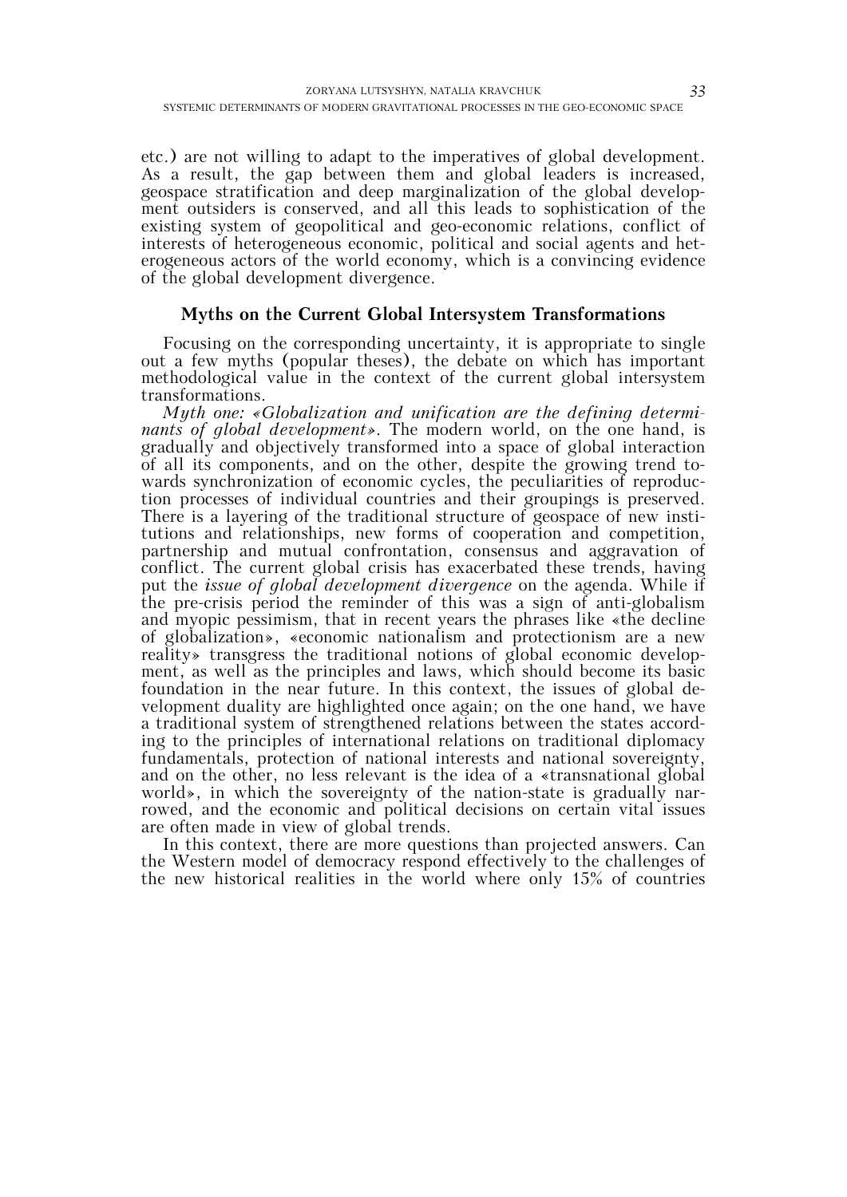etc.) are not willing to adapt to the imperatives of global development. As a result, the gap between them and global leaders is increased, geospace stratification and deep marginalization of the global development outsiders is conserved, and all this leads to sophistication of the existing system of geopolitical and geo-economic relations, conflict of interests of heterogeneous economic, political and social agents and heterogeneous actors of the world economy, which is a convincing evidence of the global development divergence.

# **Myths on the Current Global Intersystem Transformations**

Focusing on the corresponding uncertainty, it is appropriate to single out a few myths (popular theses), the debate on which has important methodological value in the context of the current global intersystem transformations.

*Myth one: «Globalization and unification are the defining determinants of global development»*. The modern world, on the one hand, is gradually and objectively transformed into a space of global interaction of all its components, and on the other, despite the growing trend towards synchronization of economic cycles, the peculiarities of reproduction processes of individual countries and their groupings is preserved. There is a layering of the traditional structure of geospace of new institutions and relationships, new forms of cooperation and competition, partnership and mutual confrontation, consensus and aggravation of conflict. The current global crisis has exacerbated these trends, having put the *issue of global development divergence* on the agenda. While if the pre-crisis period the reminder of this was a sign of anti-globalism and myopic pessimism, that in recent years the phrases like «the decline of globalization», «economic nationalism and protectionism are a new reality» transgress the traditional notions of global economic development, as well as the principles and laws, which should become its basic foundation in the near future. In this context, the issues of global development duality are highlighted once again; on the one hand, we have a traditional system of strengthened relations between the states according to the principles of international relations on traditional diplomacy fundamentals, protection of national interests and national sovereignty, and on the other, no less relevant is the idea of a «transnational global world», in which the sovereignty of the nation-state is gradually narrowed, and the economic and political decisions on certain vital issues are often made in view of global trends.

In this context, there are more questions than projected answers. Can the Western model of democracy respond effectively to the challenges of the new historical realities in the world where only 15% of countries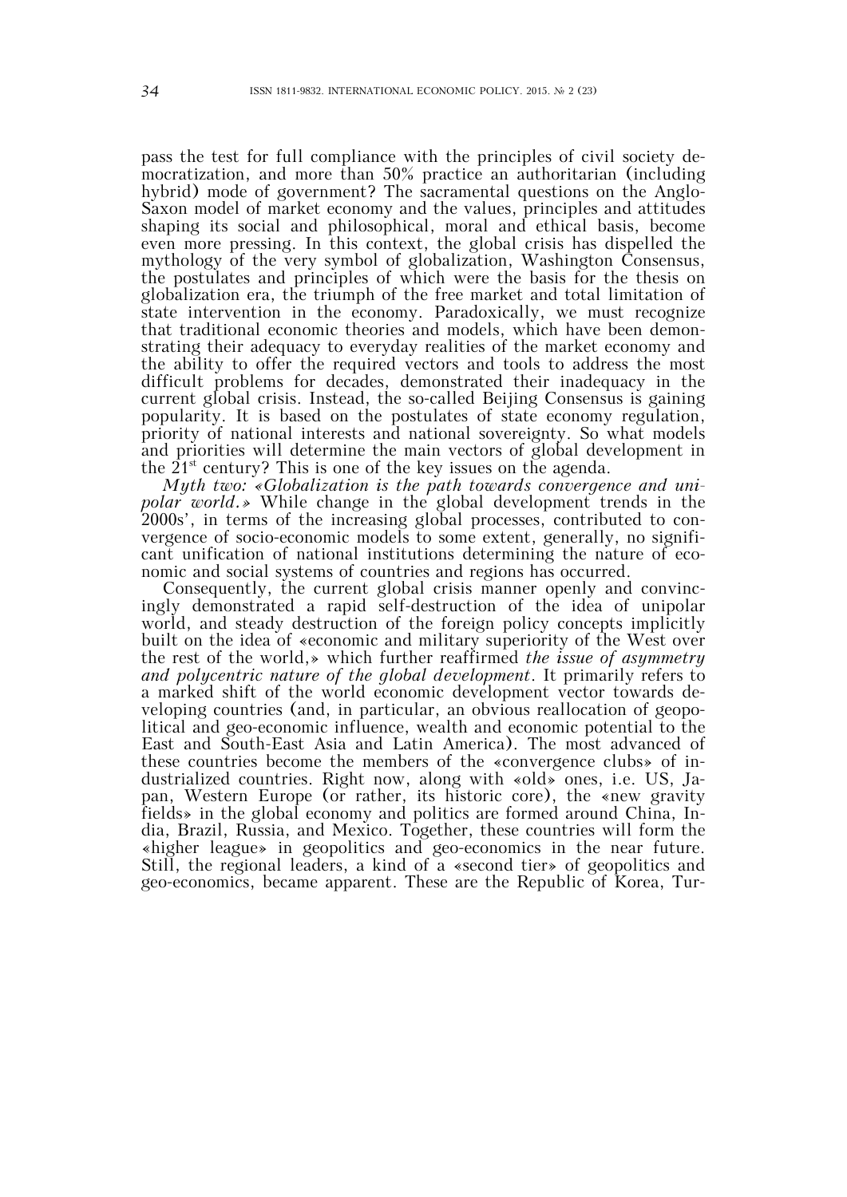pass the test for full compliance with the principles of civil society democratization, and more than 50% practice an authoritarian (including hybrid) mode of government? The sacramental questions on the Anglo-Saxon model of market economy and the values, principles and attitudes shaping its social and philosophical, moral and ethical basis, become even more pressing. In this context, the global crisis has dispelled the mythology of the very symbol of globalization, Washington Consensus, the postulates and principles of which were the basis for the thesis on globalization era, the triumph of the free market and total limitation of state intervention in the economy. Paradoxically, we must recognize that traditional economic theories and models, which have been demonstrating their adequacy to everyday realities of the market economy and the ability to offer the required vectors and tools to address the most difficult problems for decades, demonstrated their inadequacy in the current global crisis. Instead, the so-called Beijing Consensus is gaining popularity. It is based on the postulates of state economy regulation, priority of national interests and national sovereignty. So what models and priorities will determine the main vectors of global development in the  $21^{st}$  century? This is one of the key issues on the agenda.

*Myth two: «Globalization is the path towards convergence and uni*polar world.» While change in the global development trends in the 2000s', in terms of the increasing global processes, contributed to convergence of socio-economic models to some extent, generally, no significant unification of national institutions determining the nature of economic and social systems of countries and regions has occurred.

Consequently, the current global crisis manner openly and convincingly demonstrated a rapid self-destruction of the idea of unipolar world, and steady destruction of the foreign policy concepts implicitly built on the idea of «economic and military superiority of the West over the rest of the world,» which further reaffirmed *the issue of asymmetry and polycentric nature of the global development*. It primarily refers to a marked shift of the world economic development vector towards developing countries (and, in particular, an obvious reallocation of geopolitical and geo-economic influence, wealth and economic potential to the East and South-East Asia and Latin America). The most advanced of these countries become the members of the «convergence clubs» of industrialized countries. Right now, along with «old» ones, i.e. US, Japan, Western Europe (or rather, its historic core), the «new gravity fields» in the global economy and politics are formed around China, India, Brazil, Russia, and Mexico. Together, these countries will form the «higher league» in geopolitics and geo-economics in the near future. Still, the regional leaders, a kind of a «second tier» of geopolitics and geo-economics, became apparent. These are the Republic of Korea, Tur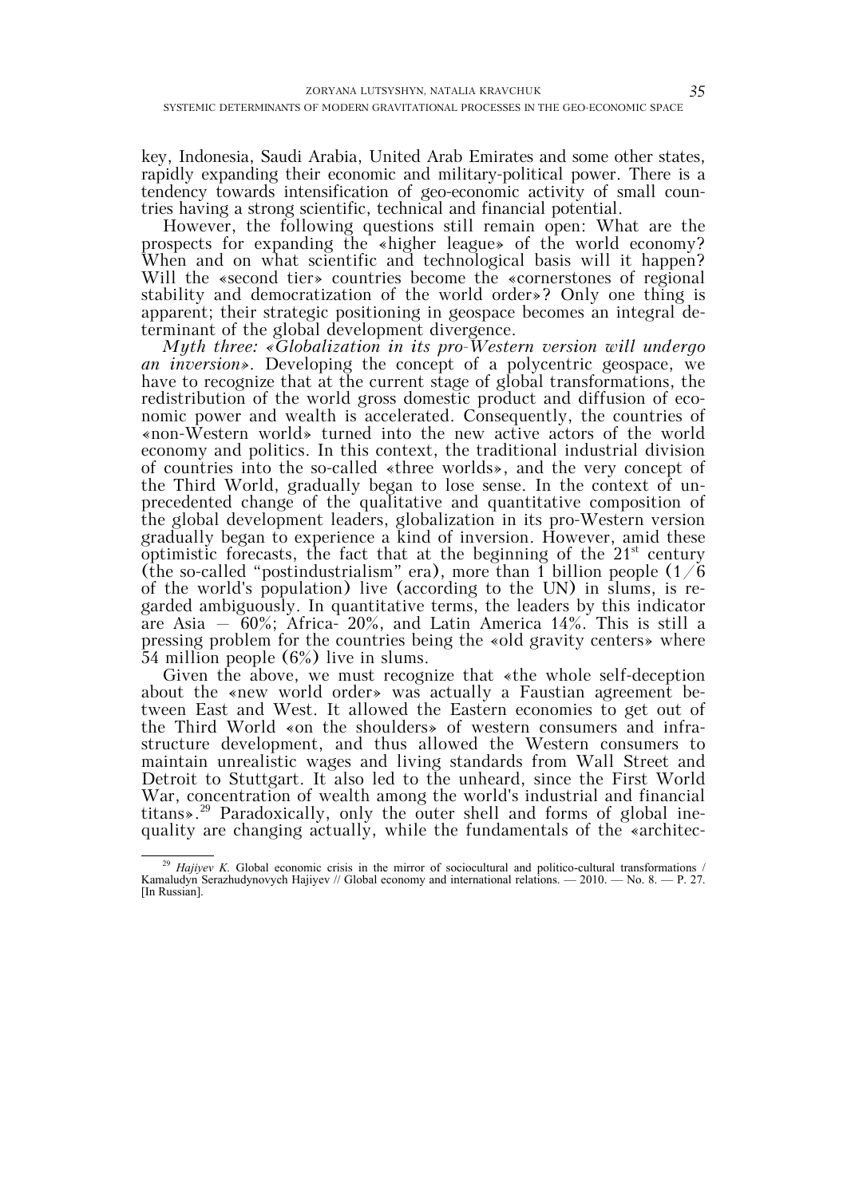key, Indonesia, Saudi Arabia, United Arab Emirates and some other states, rapidly expanding their economic and military-political power. There is a tendency towards intensification of geo-economic activity of small countries having a strong scientific, technical and financial potential.

However, the following questions still remain open: What are the prospects for expanding the «higher league» of the world economy? When and on what scientific and technological basis will it happen? Will the «second tier» countries become the «cornerstones of regional stability and democratization of the world order»? Only one thing is apparent; their strategic positioning in geospace becomes an integral determinant of the global development divergence.

*Myth three: «Globalization in its pro-Western version will undergo an inversion»*. Developing the concept of a polycentric geospace, we have to recognize that at the current stage of global transformations, the redistribution of the world gross domestic product and diffusion of economic power and wealth is accelerated. Consequently, the countries of «non-Western world» turned into the new active actors of the world economy and politics. In this context, the traditional industrial division of countries into the so-called «three worlds», and the very concept of the Third World, gradually began to lose sense. In the context of unprecedented change of the qualitative and quantitative composition of the global development leaders, globalization in its pro-Western version gradually began to experience a kind of inversion. However, amid these optimistic forecasts, the fact that at the beginning of the  $21<sup>st</sup>$  century (the so-called "postindustrialism" era), more than 1 billion people  $(1/\dot{6})$ of the world's population) live (according to the UN) in slums, is regarded ambiguously. In quantitative terms, the leaders by this indicator are Asia  $-60\%$ ; Africa- 20%, and Latin America 14%. This is still a pressing problem for the countries being the «old gravity centers» where 54 million people (6%) live in slums.

Given the above, we must recognize that «the whole self-deception about the «new world order» was actually a Faustian agreement between East and West. It allowed the Eastern economies to get out of the Third World «on the shoulders» of western consumers and infrastructure development, and thus allowed the Western consumers to maintain unrealistic wages and living standards from Wall Street and Detroit to Stuttgart. It also led to the unheard, since the First World War, concentration of wealth among the world's industrial and financial titans».29 Paradoxically, only the outer shell and forms of global inequality are changing actually, while the fundamentals of the «architec-

<sup>&</sup>lt;sup>29</sup> *Hajiyev K.* Global economic crisis in the mirror of sociocultural and politico-cultural transformations / Kamaludyn Serazhudynovych Hajiyev // Global economy and international relations.  $-2010$ .  $-$  No. 8.  $-$  P. 27. [In Russian].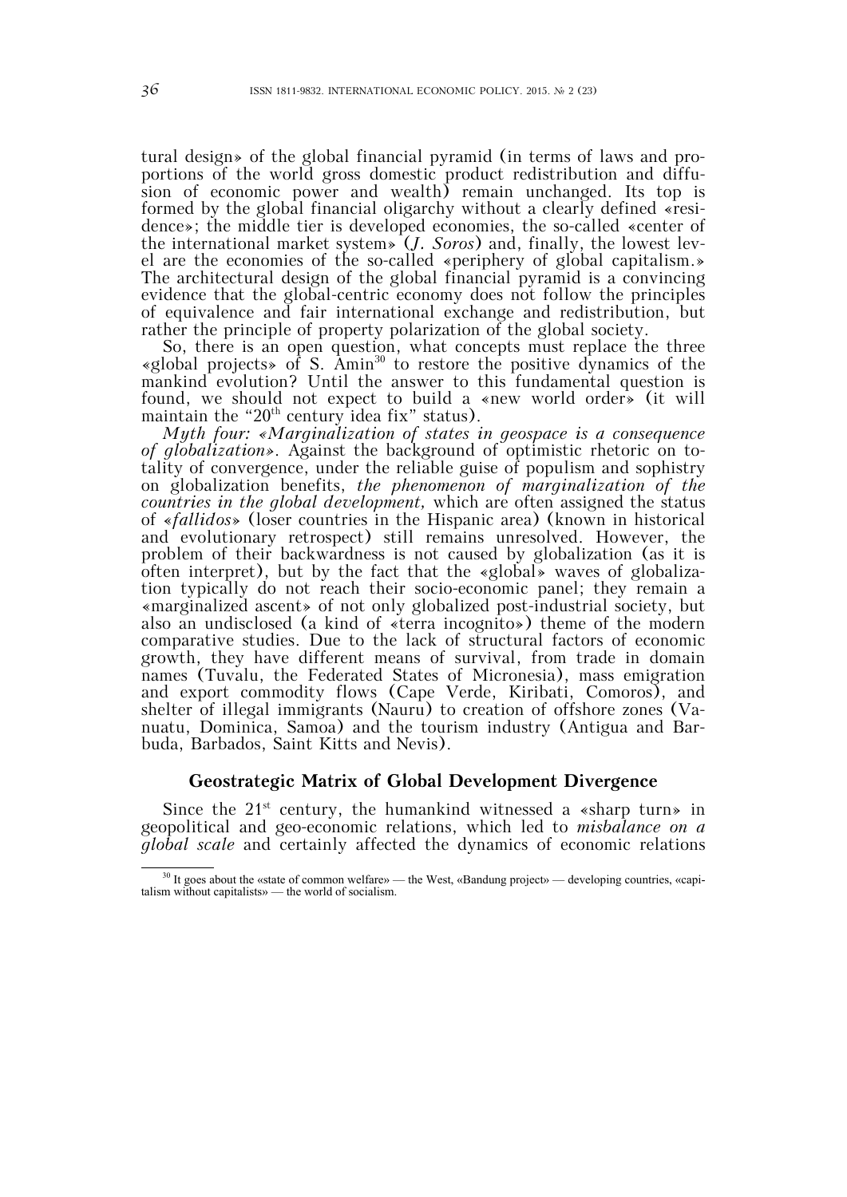tural design» of the global financial pyramid (in terms of laws and proportions of the world gross domestic product redistribution and diffusion of economic power and wealth) remain unchanged. Its top is formed by the global financial oligarchy without a clearly defined «residence»; the middle tier is developed economies, the so-called «center of the international market system» (*J. Soros*) and, finally, the lowest level are the economies of the so-called «periphery of global capitalism.» The architectural design of the global financial pyramid is a convincing evidence that the global-centric economy does not follow the principles of equivalence and fair international exchange and redistribution, but rather the principle of property polarization of the global society.

So, there is an open question, what concepts must replace the three «global projects» of S. Amin<sup>30</sup> to restore the positive dynamics of the mankind evolution? Until the answer to this fundamental question is found, we should not expect to build a «new world order» (it will maintain the " $20<sup>th</sup>$  century idea fix" status).

*Myth four: «Marginalization of states in geospace is a consequence*  of globalization». Against the background of optimistic rhetoric on totality of convergence, under the reliable guise of populism and sophistry on globalization benefits, *the phenomenon of marginalization of the countries in the global development,* which are often assigned the status of «*fallidos*» (loser countries in the Hispanic area) (known in historical and evolutionary retrospect) still remains unresolved. However, the problem of their backwardness is not caused by globalization (as it is often interpret), but by the fact that the «global» waves of globalization typically do not reach their socio-economic panel; they remain a «marginalized ascent» of not only globalized post-industrial society, but also an undisclosed (a kind of «terra incognito») theme of the modern comparative studies. Due to the lack of structural factors of economic growth, they have different means of survival, from trade in domain names (Tuvalu, the Federated States of Micronesia), mass emigration and export commodity flows (Cape Verde, Kiribati, Comoros), and shelter of illegal immigrants (Nauru) to creation of offshore zones (Vanuatu, Dominica, Samoa) and the tourism industry (Antigua and Barbuda, Barbados, Saint Kitts and Nevis).

# **Geostrategic Matrix of Global Development Divergence**

Since the  $21^{st}$  century, the humankind witnessed a «sharp turn» in geopolitical and geo-economic relations, which led to *misbalance on a global scale* and certainly affected the dynamics of economic relations

<sup>&</sup>lt;sup>30</sup> It goes about the «state of common welfare» — the West, «Bandung project» — developing countries, «capitalism without capitalists» — the world of socialism.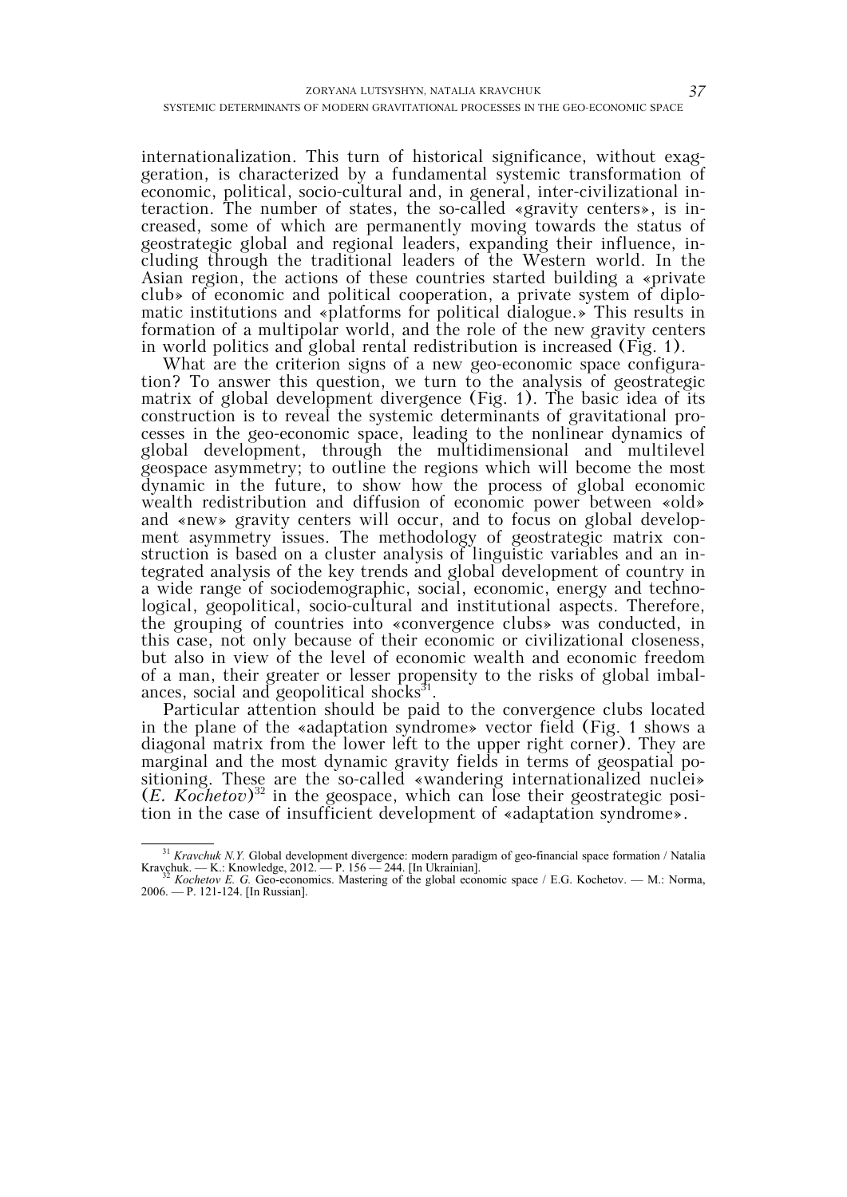internationalization. This turn of historical significance, without exaggeration, is characterized by a fundamental systemic transformation of economic, political, socio-cultural and, in general, inter-civilizational interaction. The number of states, the so-called «gravity centers», is increased, some of which are permanently moving towards the status of geostrategic global and regional leaders, expanding their influence, including through the traditional leaders of the Western world. In the Asian region, the actions of these countries started building a «private club» of economic and political cooperation, a private system of diplomatic institutions and «platforms for political dialogue.» This results in formation of a multipolar world, and the role of the new gravity centers in world politics and global rental redistribution is increased (Fig. 1).

What are the criterion signs of a new geo-economic space configuration? To answer this question, we turn to the analysis of geostrategic matrix of global development divergence (Fig. 1). The basic idea of its construction is to reveal the systemic determinants of gravitational processes in the geo-economic space, leading to the nonlinear dynamics of global development, through the multidimensional and multilevel geospace asymmetry; to outline the regions which will become the most dynamic in the future, to show how the process of global economic wealth redistribution and diffusion of economic power between «old» and «new» gravity centers will occur, and to focus on global development asymmetry issues. The methodology of geostrategic matrix construction is based on a cluster analysis of linguistic variables and an integrated analysis of the key trends and global development of country in a wide range of sociodemographic, social, economic, energy and technological, geopolitical, socio-cultural and institutional aspects. Therefore, the grouping of countries into «convergence clubs» was conducted, in this case, not only because of their economic or civilizational closeness, but also in view of the level of economic wealth and economic freedom of a man, their greater or lesser propensity to the risks of global imbalances, social and geopolitical shocks $^{31}$ .

Particular attention should be paid to the convergence clubs located in the plane of the «adaptation syndrome» vector field (Fig. 1 shows a diagonal matrix from the lower left to the upper right corner). They are marginal and the most dynamic gravity fields in terms of geospatial positioning. These are the so-called «wandering internationalized nuclei»  $(E. Kochetov)<sup>32</sup>$  in the geospace, which can lose their geostrategic position in the case of insufficient development of «adaptation syndrome».

<sup>&</sup>lt;sup>31</sup> *Kravchuk N.Y.* Global development divergence: modern paradigm of geo-financial space formation / Natalia Kravchuk. — K.: Knowledge, 2012. — P. 156 — 244. [In Ukrainian].<br><sup>32</sup> *Kochetov E. G.* Geo-economics. Mastering of the global economic space / E.G. Kochetov. — M.: Norma,

<sup>2006. —</sup> P. 121-124. [In Russian].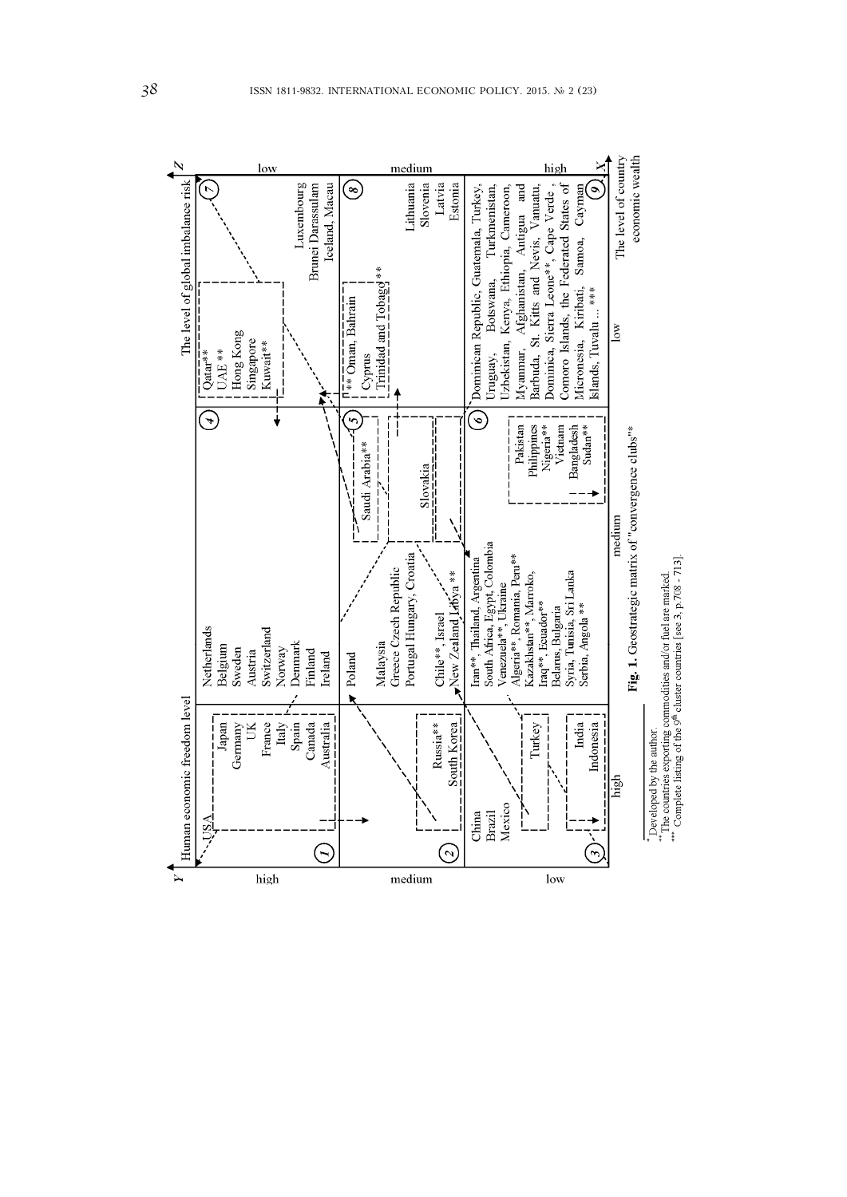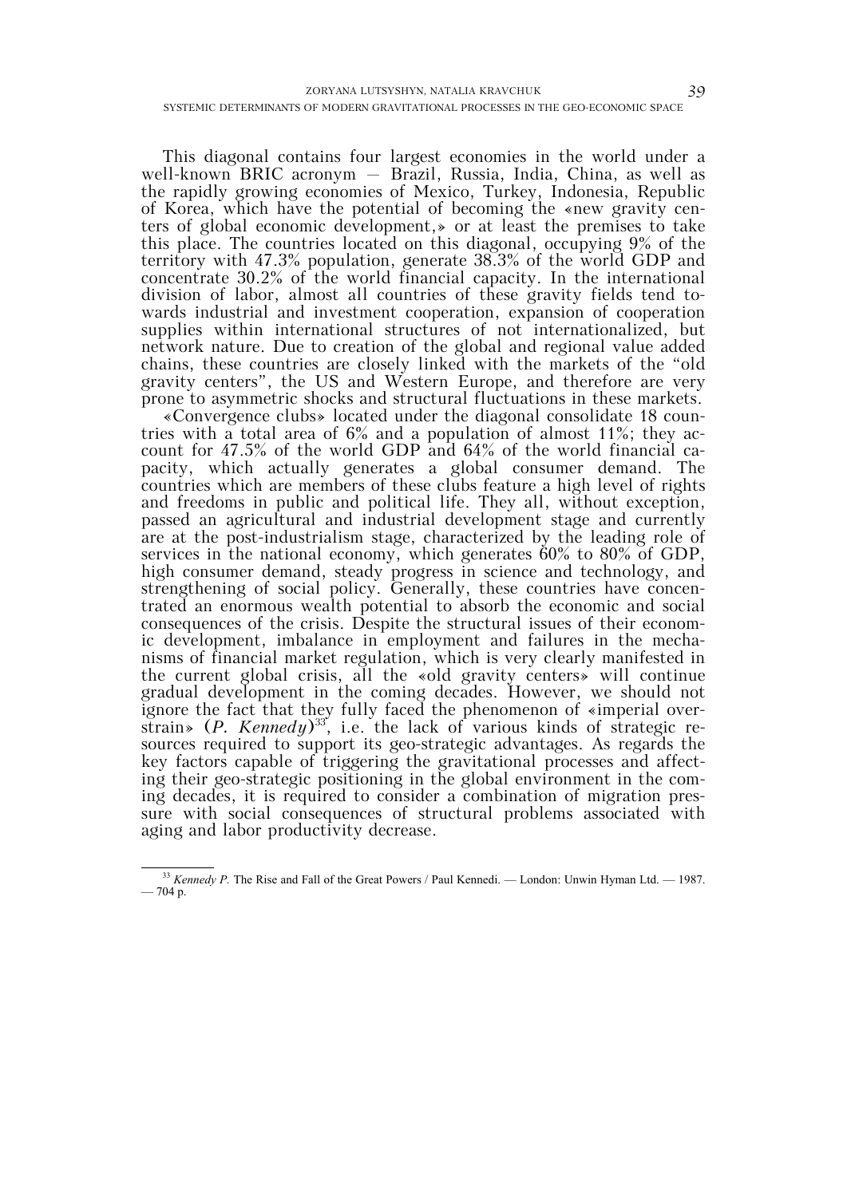This diagonal contains four largest economies in the world under a well-known BRIC acronym – Brazil, Russia, India, China, as well as the rapidly growing economies of Mexico, Turkey, Indonesia, Republic of Korea, which have the potential of becoming the «new gravity centers of global economic development,» or at least the premises to take this place. The countries located on this diagonal, occupying 9% of the territory with 47.3% population, generate 38.3% of the world GDP and concentrate 30.2% of the world financial capacity. In the international division of labor, almost all countries of these gravity fields tend towards industrial and investment cooperation, expansion of cooperation supplies within international structures of not internationalized, but network nature. Due to creation of the global and regional value added chains, these countries are closely linked with the markets of the "old gravity centers", the US and Western Europe, and therefore are very prone to asymmetric shocks and structural fluctuations in these markets.

«Convergence clubs» located under the diagonal consolidate 18 countries with a total area of 6% and a population of almost 11%; they account for 47.5% of the world GDP and 64% of the world financial capacity, which actually generates a global consumer demand. The countries which are members of these clubs feature a high level of rights and freedoms in public and political life. They all, without exception, passed an agricultural and industrial development stage and currently are at the post-industrialism stage, characterized by the leading role of services in the national economy, which generates 60% to 80% of GDP, high consumer demand, steady progress in science and technology, and strengthening of social policy. Generally, these countries have concentrated an enormous wealth potential to absorb the economic and social consequences of the crisis. Despite the structural issues of their economic development, imbalance in employment and failures in the mechanisms of financial market regulation, which is very clearly manifested in the current global crisis, all the «old gravity centers» will continue gradual development in the coming decades. However, we should not ignore the fact that they fully faced the phenomenon of «imperial overstrain» (*P. Kennedy*)33, i.e. the lack of various kinds of strategic resources required to support its geo-strategic advantages. As regards the key factors capable of triggering the gravitational processes and affecting their geo-strategic positioning in the global environment in the coming decades, it is required to consider a combination of migration pressure with social consequences of structural problems associated with aging and labor productivity decrease.

<sup>&</sup>lt;sup>33</sup> *Kennedy P.* The Rise and Fall of the Great Powers / Paul Kennedi. — London: Unwin Hyman Ltd. — 1987.  $-704 p.$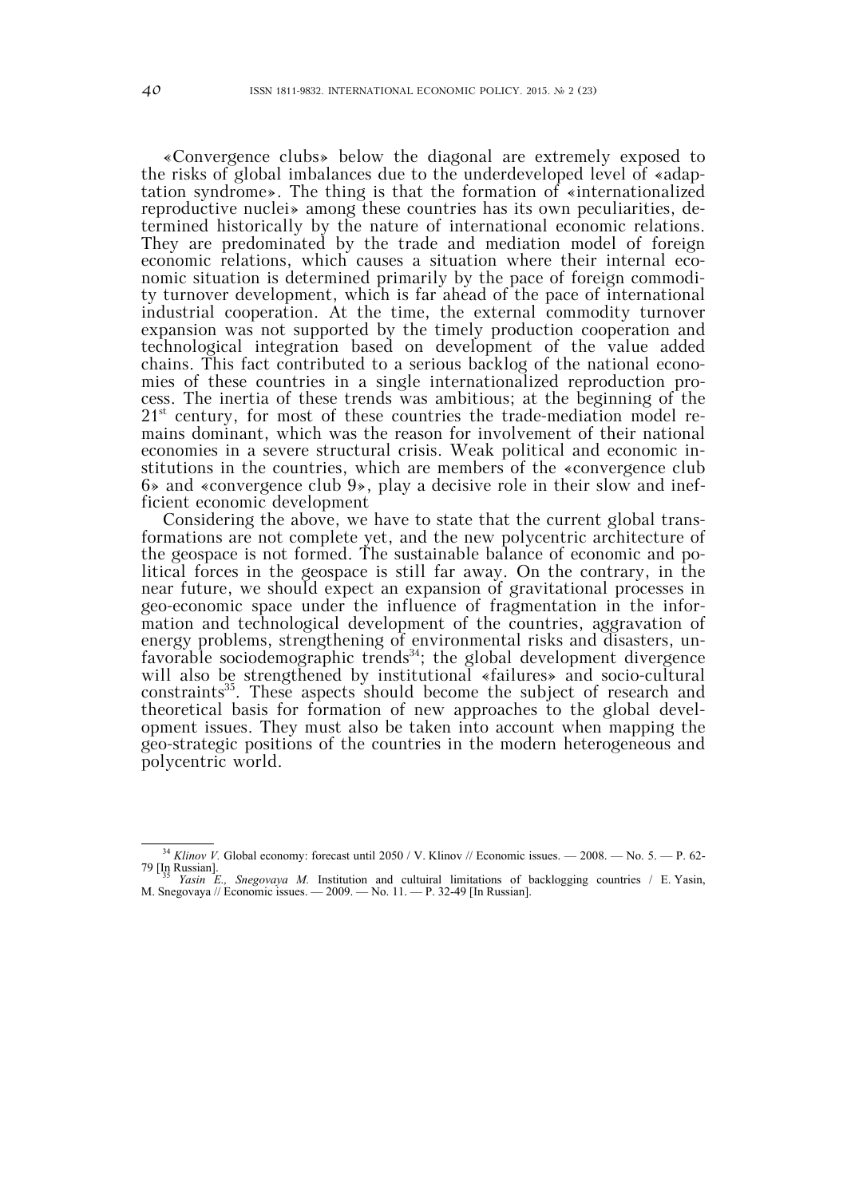«Convergence clubs» below the diagonal are extremely exposed to the risks of global imbalances due to the underdeveloped level of «adaptation syndrome». The thing is that the formation of «internationalized reproductive nuclei» among these countries has its own peculiarities, determined historically by the nature of international economic relations. They are predominated by the trade and mediation model of foreign economic relations, which causes a situation where their internal economic situation is determined primarily by the pace of foreign commodity turnover development, which is far ahead of the pace of international industrial cooperation. At the time, the external commodity turnover expansion was not supported by the timely production cooperation and technological integration based on development of the value added chains. This fact contributed to a serious backlog of the national economies of these countries in a single internationalized reproduction process. The inertia of these trends was ambitious; at the beginning of the  $21<sup>st</sup>$  century, for most of these countries the trade-mediation model remains dominant, which was the reason for involvement of their national economies in a severe structural crisis. Weak political and economic institutions in the countries, which are members of the «convergence club 6» and «convergence club 9», play a decisive role in their slow and inefficient economic development

Considering the above, we have to state that the current global transformations are not complete yet, and the new polycentric architecture of the geospace is not formed. The sustainable balance of economic and political forces in the geospace is still far away. On the contrary, in the near future, we should expect an expansion of gravitational processes in geo-economic space under the influence of fragmentation in the information and technological development of the countries, aggravation of energy problems, strengthening of environmental risks and disasters, unfavorable sociodemographic trends<sup>34</sup>; the global development divergence will also be strengthened by institutional «failures» and socio-cultural constraints<sup>35</sup>. These aspects should become the subject of research and theoretical basis for formation of new approaches to the global development issues. They must also be taken into account when mapping the geo-strategic positions of the countries in the modern heterogeneous and polycentric world.

 <sup>34</sup> *Klinov V.* Global economy: forecast until 2050 / V. Klinov // Economic issues. — 2008. — No. 5. — P. 62- 79 [In Russian]. 35 *Yasin Е., Snegovaya М.* Institution and cultuiral limitations of backlogging countries / Е. Yasin,

М. Snegovaya // Economic issues. — 2009. — No. 11. — P. 32-49 [In Russian].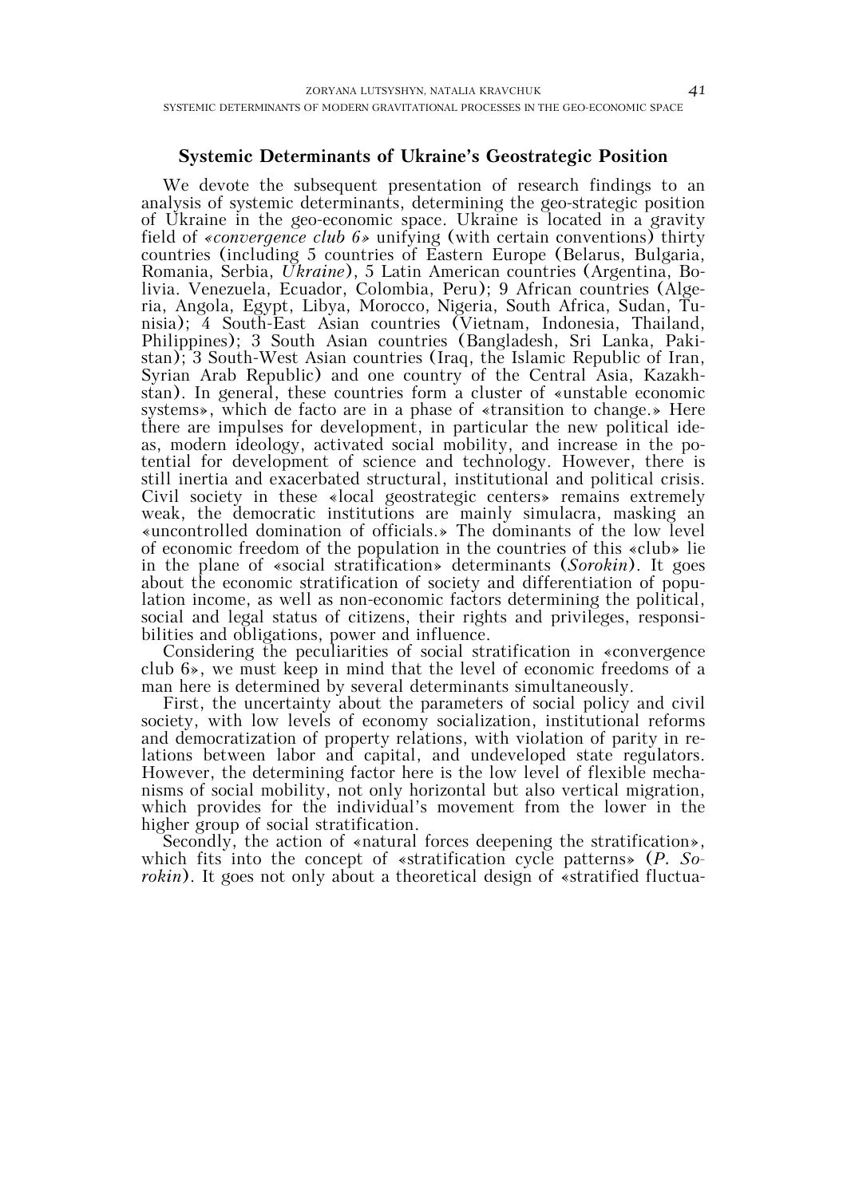## **Systemic Determinants of Ukraine's Geostrategic Position**

We devote the subsequent presentation of research findings to an analysis of systemic determinants, determining the geo-strategic position of Ukraine in the geo-economic space. Ukraine is located in a gravity field of *«convergence club 6»* unifying (with certain conventions) thirty countries (including 5 countries of Eastern Europe (Belarus, Bulgaria, Romania, Serbia, *Ukraine*), 5 Latin American countries (Argentina, Bolivia. Venezuela, Ecuador, Colombia, Peru); 9 African countries (Algeria, Angola, Egypt, Libya, Morocco, Nigeria, South Africa, Sudan, Tunisia); 4 South-East Asian countries (Vietnam, Indonesia, Thailand, Philippines); 3 South Asian countries (Bangladesh, Sri Lanka, Pakistan); 3 South-West Asian countries (Iraq, the Islamic Republic of Iran, Syrian Arab Republic) and one country of the Central Asia, Kazakhstan). In general, these countries form a cluster of «unstable economic systems», which de facto are in a phase of «transition to change.» Here there are impulses for development, in particular the new political ideas, modern ideology, activated social mobility, and increase in the potential for development of science and technology. However, there is still inertia and exacerbated structural, institutional and political crisis. Civil society in these «local geostrategic centers» remains extremely weak, the democratic institutions are mainly simulacra, masking an «uncontrolled domination of officials.» The dominants of the low level of economic freedom of the population in the countries of this «club» lie in the plane of «social stratification» determinants (*Sorokin*). It goes about the economic stratification of society and differentiation of population income, as well as non-economic factors determining the political, social and legal status of citizens, their rights and privileges, responsibilities and obligations, power and influence.

Considering the peculiarities of social stratification in «convergence club 6», we must keep in mind that the level of economic freedoms of a man here is determined by several determinants simultaneously.

First, the uncertainty about the parameters of social policy and civil society, with low levels of economy socialization, institutional reforms and democratization of property relations, with violation of parity in relations between labor and capital, and undeveloped state regulators. However, the determining factor here is the low level of flexible mechanisms of social mobility, not only horizontal but also vertical migration, which provides for the individual's movement from the lower in the higher group of social stratification.

Secondly, the action of «natural forces deepening the stratification», which fits into the concept of «stratification cycle patterns» (*P. Sorokin*). It goes not only about a theoretical design of «stratified fluctua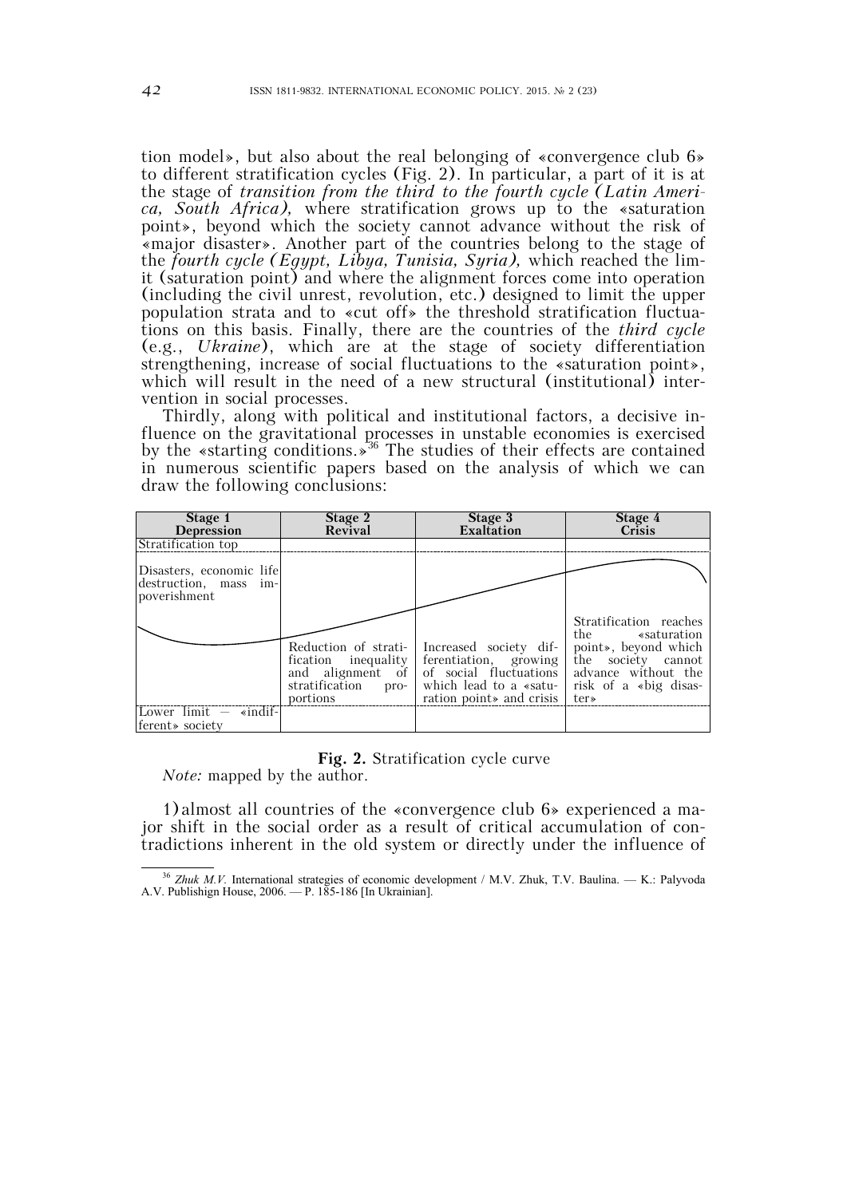tion model», but also about the real belonging of «convergence club 6» to different stratification cycles (Fig. 2). In particular, a part of it is at the stage of *transition from the third to the fourth cycle (Latin America, South Africa),* where stratification grows up to the «saturation point», beyond which the society cannot advance without the risk of «major disaster». Another part of the countries belong to the stage of the *fourth cycle (Egypt, Libya, Tunisia, Syria),* which reached the limit (saturation point) and where the alignment forces come into operation (including the civil unrest, revolution, etc.) designed to limit the upper population strata and to «cut off» the threshold stratification fluctuations on this basis. Finally, there are the countries of the *third cycle*  (e.g., *Ukraine*), which are at the stage of society differentiation strengthening, increase of social fluctuations to the «saturation point», which will result in the need of a new structural (institutional) intervention in social processes.

Thirdly, along with political and institutional factors, a decisive influence on the gravitational processes in unstable economies is exercised by the «starting conditions.»<sup>36</sup> The studies of their effects are contained in numerous scientific papers based on the analysis of which we can draw the following conclusions:

| Stage 1<br>Depression                                             | Stage 2<br>Revival                                 | Stage 3<br>Exaltation                                                                                                                                                    | Stage 4<br>Crisis                                                                                                                               |
|-------------------------------------------------------------------|----------------------------------------------------|--------------------------------------------------------------------------------------------------------------------------------------------------------------------------|-------------------------------------------------------------------------------------------------------------------------------------------------|
| Stratification top                                                |                                                    |                                                                                                                                                                          |                                                                                                                                                 |
| Disasters, economic life<br>destruction, mass im-<br>poverishment | Reduction of strati-<br>stratification<br>portions | Increased society dif-<br>fication inequality ferentiation, growing<br>and alignment of of social fluctuations<br>pro- which lead to a «satu-<br>ration point and crisis | Stratification reaches<br>the «saturation<br>point», beyond which<br>the society cannot<br>advance without the<br>risk of a «big disas-<br>ter» |
| Lower $limit$ $ \ast$ indif-<br>ferent » society                  |                                                    |                                                                                                                                                                          |                                                                                                                                                 |

#### **Fig. 2.** Stratification cycle curve

*Note:* mapped by the author.

1)almost all countries of the «convergence club 6» experienced a major shift in the social order as a result of critical accumulation of contradictions inherent in the old system or directly under the influence of

<sup>&</sup>lt;sup>36</sup> Zhuk M.V. International strategies of economic development / M.V. Zhuk, T.V. Baulina. — K.: Palyvoda A.V. Publishign House, 2006. — P. 185-186 [In Ukrainian].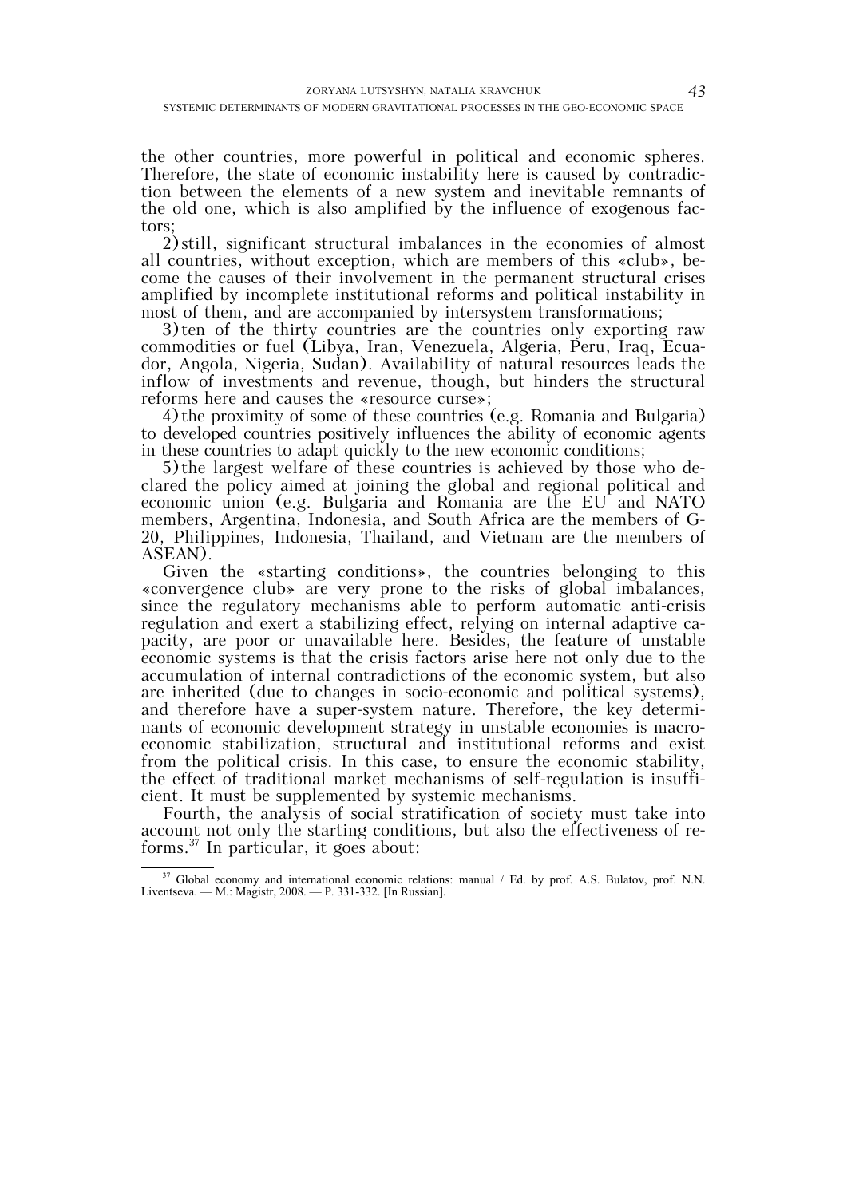the other countries, more powerful in political and economic spheres. Therefore, the state of economic instability here is caused by contradiction between the elements of a new system and inevitable remnants of the old one, which is also amplified by the influence of exogenous factors;

2)still, significant structural imbalances in the economies of almost all countries, without exception, which are members of this «club», become the causes of their involvement in the permanent structural crises amplified by incomplete institutional reforms and political instability in most of them, and are accompanied by intersystem transformations;

3)ten of the thirty countries are the countries only exporting raw commodities or fuel (Libya, Iran, Venezuela, Algeria, Peru, Iraq, Ecuador, Angola, Nigeria, Sudan). Availability of natural resources leads the inflow of investments and revenue, though, but hinders the structural reforms here and causes the «resource curse»;

4) the proximity of some of these countries (e.g. Romania and Bulgaria) to developed countries positively influences the ability of economic agents in these countries to adapt quickly to the new economic conditions;

5)the largest welfare of these countries is achieved by those who declared the policy aimed at joining the global and regional political and economic union (e.g. Bulgaria and Romania are the EU and NATO members, Argentina, Indonesia, and South Africa are the members of G-20, Philippines, Indonesia, Thailand, and Vietnam are the members of ASEAN).

Given the «starting conditions», the countries belonging to this «convergence club» are very prone to the risks of global imbalances, since the regulatory mechanisms able to perform automatic anti-crisis regulation and exert a stabilizing effect, relying on internal adaptive capacity, are poor or unavailable here. Besides, the feature of unstable economic systems is that the crisis factors arise here not only due to the accumulation of internal contradictions of the economic system, but also are inherited (due to changes in socio-economic and political systems), and therefore have a super-system nature. Therefore, the key determinants of economic development strategy in unstable economies is macroeconomic stabilization, structural and institutional reforms and exist from the political crisis. In this case, to ensure the economic stability, the effect of traditional market mechanisms of self-regulation is insufficient. It must be supplemented by systemic mechanisms.

Fourth, the analysis of social stratification of society must take into account not only the starting conditions, but also the effectiveness of reforms.37 In particular, it goes about:

<sup>&</sup>lt;sup>37</sup> Global economy and international economic relations: manual / Ed. by prof. A.S. Bulatov, prof. N.N. Liventseva. — M.: Magistr, 2008. — P. 331-332. [In Russian].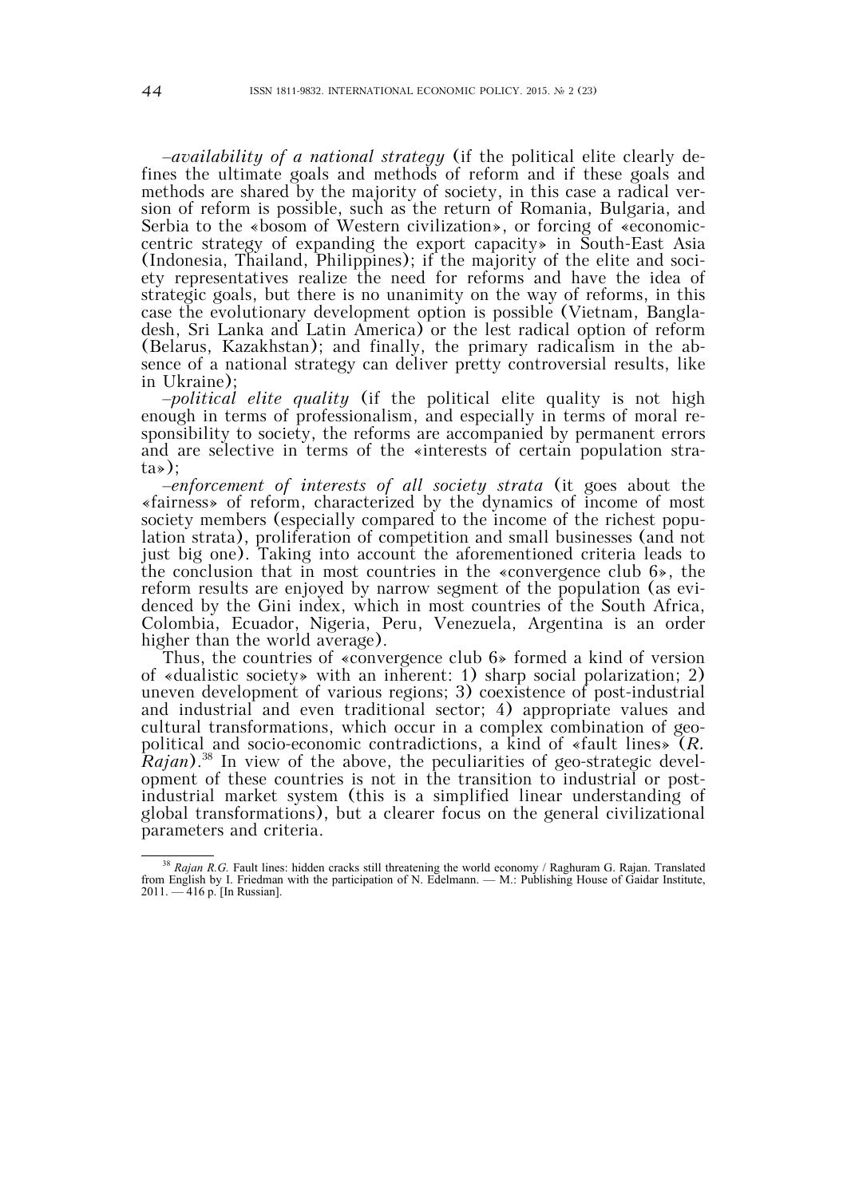–*availability of a national strategy* (if the political elite clearly defines the ultimate goals and methods of reform and if these goals and methods are shared by the majority of society, in this case a radical version of reform is possible, such as the return of Romania, Bulgaria, and Serbia to the «bosom of Western civilization», or forcing of «economiccentric strategy of expanding the export capacity» in South-East Asia (Indonesia, Thailand, Philippines); if the majority of the elite and society representatives realize the need for reforms and have the idea of strategic goals, but there is no unanimity on the way of reforms, in this case the evolutionary development option is possible (Vietnam, Bangladesh, Sri Lanka and Latin America) or the lest radical option of reform (Belarus, Kazakhstan); and finally, the primary radicalism in the absence of a national strategy can deliver pretty controversial results, like in Ukraine);

–*political elite quality* (if the political elite quality is not high enough in terms of professionalism, and especially in terms of moral responsibility to society, the reforms are accompanied by permanent errors and are selective in terms of the «interests of certain population strata»);

–*enforcement of interests of all society strata* (it goes about the «fairness» of reform, characterized by the dynamics of income of most society members (especially compared to the income of the richest population strata), proliferation of competition and small businesses (and not just big one). Taking into account the aforementioned criteria leads to the conclusion that in most countries in the «convergence club 6», the reform results are enjoyed by narrow segment of the population (as evidenced by the Gini index, which in most countries of the South Africa, Colombia, Ecuador, Nigeria, Peru, Venezuela, Argentina is an order higher than the world average).

Thus, the countries of «convergence club 6» formed a kind of version of «dualistic society» with an inherent: 1) sharp social polarization; 2) uneven development of various regions; 3) coexistence of post-industrial and industrial and even traditional sector; 4) appropriate values and cultural transformations, which occur in a complex combination of geopolitical and socio-economic contradictions, a kind of «fault lines» (*R. Rajan*).<sup>38</sup> In view of the above, the peculiarities of geo-strategic development of these countries is not in the transition to industrial or postindustrial market system (this is a simplified linear understanding of global transformations), but a clearer focus on the general civilizational parameters and criteria.

<sup>&</sup>lt;sup>38</sup> Rajan R.G. Fault lines: hidden cracks still threatening the world economy / Raghuram G. Rajan. Translated from English by I. Friedman with the participation of N. Edelmann. — M.: Publishing House of Gaidar Institute, 2011. — 416 p. [In Russian].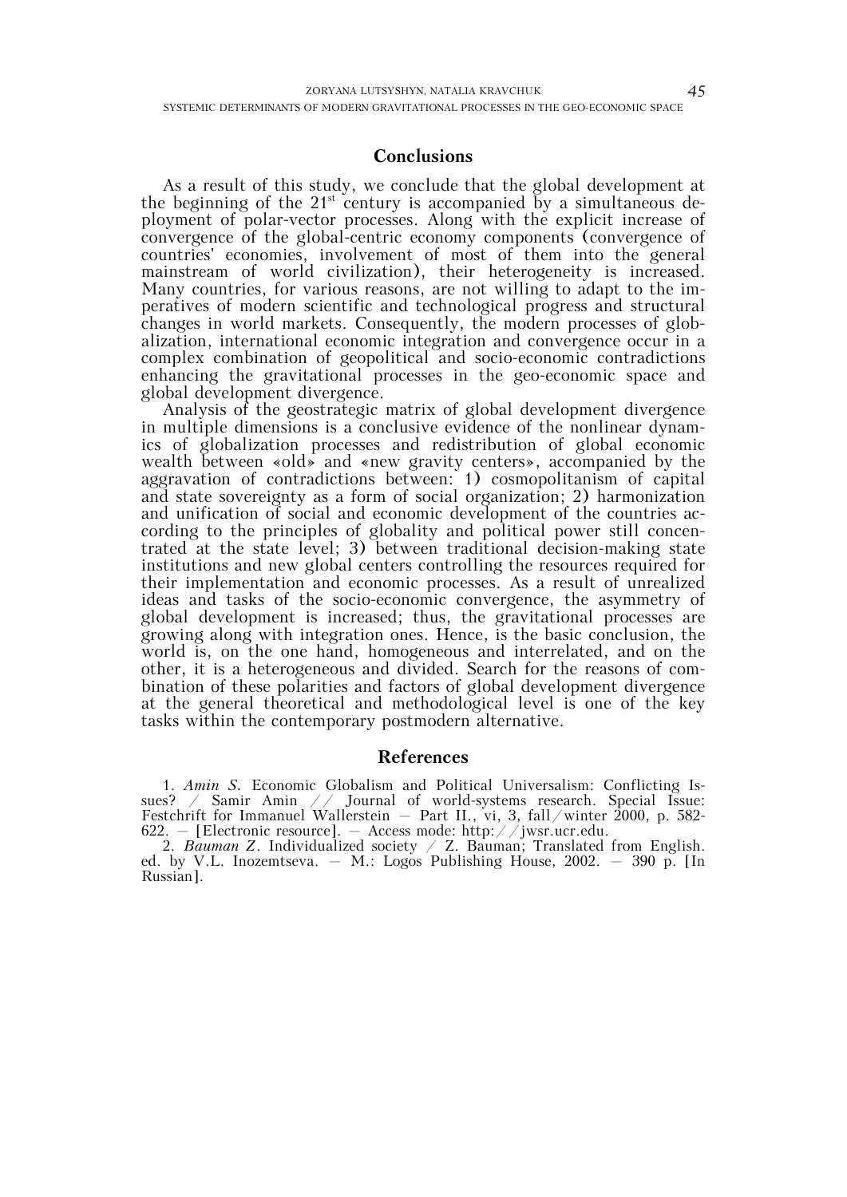### **Conclusions**

As a result of this study, we conclude that the global development at the beginning of the  $21^{st}$  century is accompanied by a simultaneous deployment of polar-vector processes. Along with the explicit increase of convergence of the global-centric economy components (convergence of countries' economies, involvement of most of them into the general mainstream of world civilization), their heterogeneity is increased. Many countries, for various reasons, are not willing to adapt to the imperatives of modern scientific and technological progress and structural changes in world markets. Consequently, the modern processes of globalization, international economic integration and convergence occur in a complex combination of geopolitical and socio-economic contradictions enhancing the gravitational processes in the geo-economic space and global development divergence.

Analysis of the geostrategic matrix of global development divergence in multiple dimensions is a conclusive evidence of the nonlinear dynamics of globalization processes and redistribution of global economic wealth between «old» and «new gravity centers», accompanied by the aggravation of contradictions between: 1) cosmopolitanism of capital and state sovereignty as a form of social organization; 2) harmonization and unification of social and economic development of the countries according to the principles of globality and political power still concentrated at the state level; 3) between traditional decision-making state institutions and new global centers controlling the resources required for their implementation and economic processes. As a result of unrealized ideas and tasks of the socio-economic convergence, the asymmetry of global development is increased; thus, the gravitational processes are growing along with integration ones. Hence, is the basic conclusion, the world is, on the one hand, homogeneous and interrelated, and on the other, it is a heterogeneous and divided. Search for the reasons of combination of these polarities and factors of global development divergence at the general theoretical and methodological level is one of the key tasks within the contemporary postmodern alternative.

#### **References**

1. *Amin S.* Economic Globalism and Political Universalism: Conflicting Issues? / Samir Amin // Journal of world-systems research. Special Issue: Festchrift for Immanuel Wallerstein – Part II., vi, 3, fall/winter 2000, p. 582- 622. – [Electronic resource]. – Access mode: http://jwsr.ucr.edu.

2. *Bauman Z*. Individualized society / Z. Bauman; Translated from English. ed. by V.L. Inozemtseva. – M.: Logos Publishing House, 2002. – 390 p. [In Russian].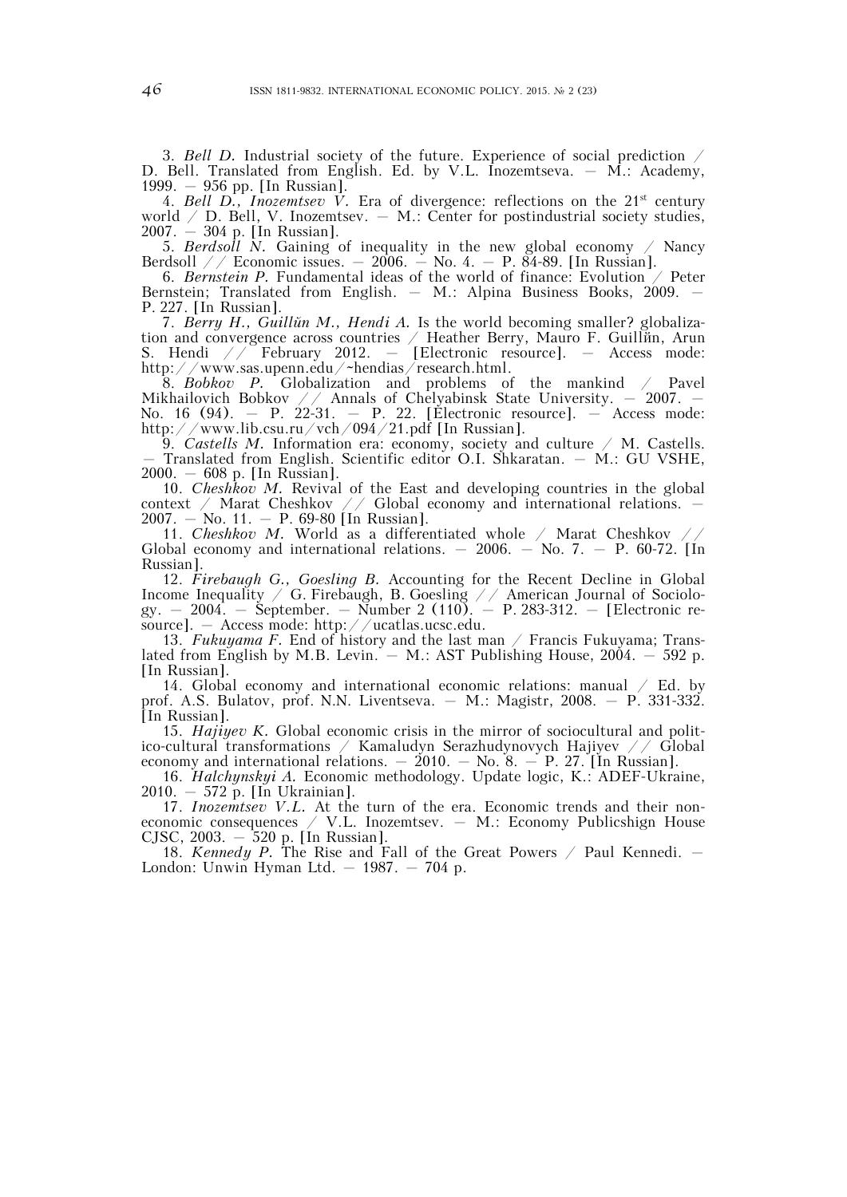3. *Bell D.* Industrial society of the future. Experience of social prediction / D. Bell. Translated from English. Ed. by V.L. Inozemtseva. – M.: Academy, 1999. – 956 pp. [In Russian].

4. *Bell D., Inozemtsev V.* Era of divergence: reflections on the 21st century world  $\angle$  D. Bell, V. Inozemtsev.  $-$  M.: Center for postindustrial society studies, 2007. – 304 p. [In Russian].

5. *Berdsoll N.* Gaining of inequality in the new global economy / Nancy Berdsoll // Economic issues.  $-2006. -$  No. 4.  $-$  P. 84-89. [In Russian].

6. *Bernstein P.* Fundamental ideas of the world of finance: Evolution / Peter Bernstein; Translated from English. – M.: Alpina Business Books, 2009. – P. 227. [In Russian].

7. *Berry H., Guillйn M., Hendi A.* Is the world becoming smaller? globalization and convergence across countries / Heather Berry, Mauro F. Guillйn, Arun S. Hendi // February 2012. – [Electronic resource]. – Access mode: http://www.sas.upenn.edu/~hendias/research.html.

8. *Bobkov P.* Globalization and problems of the mankind / Pavel Mikhailovich Bobkov  $//$  Annals of Chelyabinsk State University.  $-$  2007.  $-$ No. 16 (94). – P. 22-31. – P. 22. [Electronic resource]. – Access mode: http://www.lib.csu.ru/vch/094/21.pdf [In Russian].

9. *Castells M.* Information era: economy, society and culture / M. Castells. – Translated from English. Scientific editor O.I. Shkaratan. – M.: GU VSHE, 2000. – 608 p. [In Russian].

10. *Cheshkov M.* Revival of the East and developing countries in the global context / Marat Cheshkov // Global economy and international relations. – 2007. – No. 11. – P. 69-80 [In Russian].

11. *Cheshkov M.* World as a differentiated whole / Marat Cheshkov // Global economy and international relations.  $-2006. -$  No. 7.  $-$  P. 60-72. [In Russian].

12. *Firebaugh G., Goesling B.* Accounting for the Recent Decline in Global Income Inequality  $\angle$  G. Firebaugh, B. Goesling  $\angle$   $\angle$  American Journal of Sociology. – 2004. – September. – Number 2 (110). – Р. 283-312. – [Electronic resource]. – Access mode: http://ucatlas.ucsc.edu.

13. *Fukuyama F.* End of history and the last man / Francis Fukuyama; Translated from English by M.B. Levin.  $-$  M.: AST Publishing House, 2004.  $-$  592 p. [In Russian].

14. Global economy and international economic relations: manual / Ed. by prof. A.S. Bulatov, prof. N.N. Liventseva. – M.: Magistr, 2008. – P. 331-332. [In Russian].

15. *Hajiyev K.* Global economic crisis in the mirror of sociocultural and politico-cultural transformations / Kamaludyn Serazhudynovych Hajiyev // Global economy and international relations.  $-2010$ .  $-$  No.  $8. - P. 27$ . [In Russian].

16. *Halchynskyi A.* Economic methodology. Update logic, K.: ADEF-Ukraine, 2010. – 572 p. [In Ukrainian].

17. *Inozemtsev V.L.* At the turn of the era. Economic trends and their noneconomic consequences / V.L. Inozemtsev. – M.: Economy Publicshign House CJSC, 2003. – 520 p. [In Russian].

18. *Kennedy P.* The Rise and Fall of the Great Powers / Paul Kennedi. – London: Unwin Hyman Ltd.  $-$  1987.  $-$  704 p.